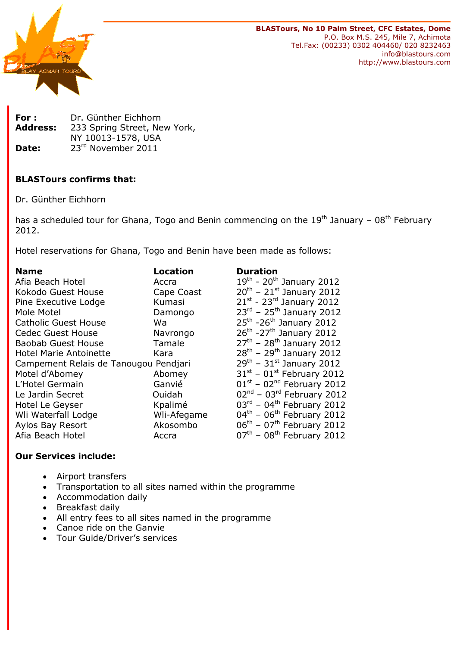

BLASTours, No 10 Palm Street, CFC Estates, Dome P.O. Box M.S. 245, Mile 7, Achimota Tel.Fax: (00233) 0302 404460/ 020 8232463 info@blastours.com http://www.blastours.com

| For :           | Dr. Günther Eichhorn         |  |  |
|-----------------|------------------------------|--|--|
| <b>Address:</b> | 233 Spring Street, New York, |  |  |
|                 | NY 10013-1578, USA           |  |  |
| Date:           | 23rd November 2011           |  |  |

# BLASTours confirms that:

Dr. Günther Eichhorn

has a scheduled tour for Ghana, Togo and Benin commencing on the  $19<sup>th</sup>$  January – 08<sup>th</sup> February 2012.

Hotel reservations for Ghana, Togo and Benin have been made as follows:

| <b>Name</b>                           | <b>Location</b> | <b>Duration</b>                                   |
|---------------------------------------|-----------------|---------------------------------------------------|
| Afia Beach Hotel                      | Accra           | $19^{\text{th}}$ - 20 <sup>th</sup> January 2012  |
| Kokodo Guest House                    | Cape Coast      | $20^{th}$ – 21st January 2012                     |
| Pine Executive Lodge                  | Kumasi          | $21^{st}$ - $23^{rd}$ January 2012                |
| Mole Motel                            | Damongo         | $23^{rd}$ - $25^{th}$ January 2012                |
| <b>Catholic Guest House</b>           | Wa              | $25^{\text{th}}$ -26 <sup>th</sup> January 2012   |
| <b>Cedec Guest House</b>              | Navrongo        | $26th - 27th$ January 2012                        |
| <b>Baobab Guest House</b>             | Tamale          | $27^{th}$ - 28 <sup>th</sup> January 2012         |
| <b>Hotel Marie Antoinette</b>         | Kara            | $28^{th}$ – 29 <sup>th</sup> January 2012         |
| Campement Relais de Tanougou Pendjari |                 | $29^{th}$ – $31^{st}$ January 2012                |
| Motel d'Abomey                        | Abomey          | $31st - 01st$ February 2012                       |
| L'Hotel Germain                       | Ganvié          | $01st - 02nd$ February 2012                       |
| Le Jardin Secret                      | Ouidah          | $02nd$ – $03rd$ February 2012                     |
| Hotel Le Geyser                       | Kpalimé         | $03^{\text{rd}}$ – 04 <sup>th</sup> February 2012 |
| Wli Waterfall Lodge                   | Wli-Afegame     | $04^{\text{th}}$ - $06^{\text{th}}$ February 2012 |
| Aylos Bay Resort                      | Akosombo        | $06^{\text{th}}$ – $07^{\text{th}}$ February 2012 |
| Afia Beach Hotel                      | Accra           | $07th$ – 08 <sup>th</sup> February 2012           |

# Our Services include:

- Airport transfers
- Transportation to all sites named within the programme
- Accommodation daily
- Breakfast daily
- All entry fees to all sites named in the programme
- Canoe ride on the Ganvie
- Tour Guide/Driver's services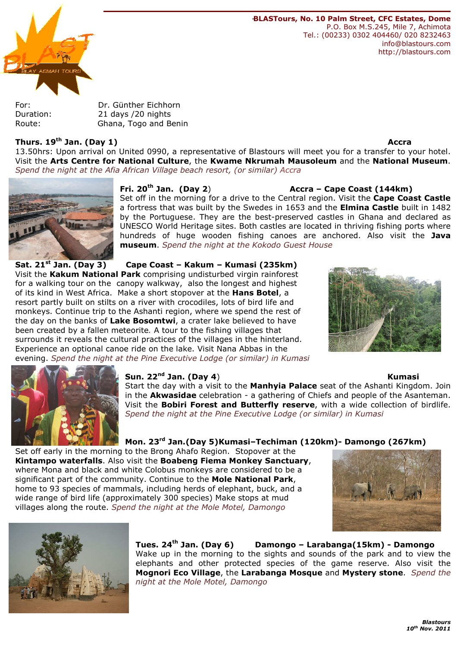

-BLASTours, No. 10 Palm Street, CFC Estates, Dome P.O. Box M.S.245, Mile 7, Achimota Tel.: (00233) 0302 404460/ 020 8232463 info@blastours.com http://blastours.com

For: Dr. Günther Eichhorn Duration: 21 days /20 nights Route: Ghana, Togo and Benin

### Thurs. 19<sup>th</sup> Jan. (Day 1) Accra 2012 12:30 Accra 2012 12:30 Accra 2012 12:30 Accra 2014 12:30

13.50hrs: Upon arrival on United 0990, a representative of Blastours will meet you for a transfer to your hotel. Visit the Arts Centre for National Culture, the Kwame Nkrumah Mausoleum and the National Museum. Spend the night at the Afia African Village beach resort, (or similar) Accra



# Fri. 20<sup>th</sup> Jan. (Day 2) **Accra – Cape Coast (144km)**

Set off in the morning for a drive to the Central region. Visit the Cape Coast Castle a fortress that was built by the Swedes in 1653 and the Elmina Castle built in 1482 by the Portuguese. They are the best-preserved castles in Ghana and declared as UNESCO World Heritage sites. Both castles are located in thriving fishing ports where hundreds of huge wooden fishing canoes are anchored. Also visit the Java museum. Spend the night at the Kokodo Guest House

Sat. 21<sup>st</sup> Jan. (Day 3) Cape Coast – Kakum – Kumasi (235km) Visit the Kakum National Park comprising undisturbed virgin rainforest for a walking tour on the canopy walkway, also the longest and highest of its kind in West Africa. Make a short stopover at the Hans Botel, a resort partly built on stilts on a river with crocodiles, lots of bird life and monkeys. Continue trip to the Ashanti region, where we spend the rest of the day on the banks of Lake Bosomtwi, a crater lake believed to have been created by a fallen meteorite. A tour to the fishing villages that surrounds it reveals the cultural practices of the villages in the hinterland. Experience an optional canoe ride on the lake. Visit Nana Abbas in the evening. Spend the night at the Pine Executive Lodge (or similar) in Kumasi





## Sun. 22<sup>nd</sup> Jan. (Day 4) **Kumasi**

### Start the day with a visit to the Manhyia Palace seat of the Ashanti Kingdom. Join in the **Akwasidae** celebration - a gathering of Chiefs and people of the Asanteman. Visit the **Bobiri Forest and Butterfly reserve**, with a wide collection of birdlife. Spend the night at the Pine Executive Lodge (or similar) in Kumasi

### Mon. 23rd Jan.(Day 5)Kumasi–Techiman (120km)- Damongo (267km)

Set off early in the morning to the Brong Ahafo Region. Stopover at the Kintampo waterfalls. Also visit the Boabeng Fiema Monkey Sanctuary, where Mona and black and white Colobus monkeys are considered to be a significant part of the community. Continue to the Mole National Park, home to 93 species of mammals, including herds of elephant, buck, and a wide range of bird life (approximately 300 species) Make stops at mud villages along the route. Spend the night at the Mole Motel, Damongo





Tues. 24<sup>th</sup> Jan. (Day 6) Damongo - Larabanga(15km) - Damongo Wake up in the morning to the sights and sounds of the park and to view the elephants and other protected species of the game reserve. Also visit the Mognori Eco Village, the Larabanga Mosque and Mystery stone. Spend the night at the Mole Motel, Damongo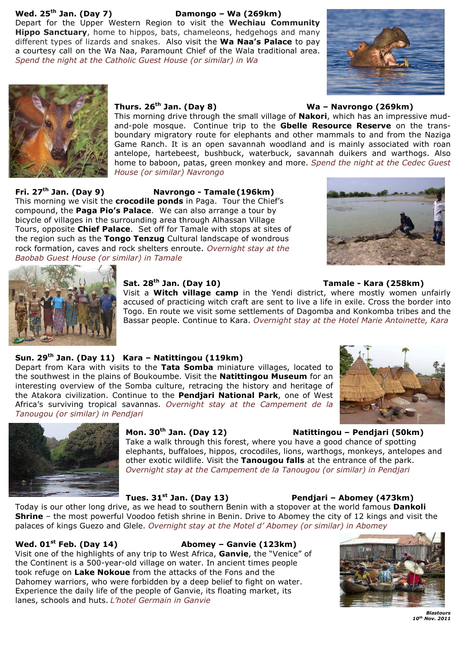# Wed.  $25<sup>th</sup>$  Jan. (Day 7) Damongo – Wa (269km)

Depart for the Upper Western Region to visit the Wechiau Community Hippo Sanctuary, home to hippos, bats, chameleons, hedgehogs and many different types of lizards and snakes. Also visit the Wa Naa's Palace to pay a courtesy call on the Wa Naa, Paramount Chief of the Wala traditional area. Spend the night at the Catholic Guest House (or similar) in Wa





### Thurs.  $26<sup>th</sup>$  Jan. (Day 8) Wa – Navrongo (269km)

This morning drive through the small village of Nakori, which has an impressive mudand-pole mosque. Continue trip to the Gbelle Resource Reserve on the transboundary migratory route for elephants and other mammals to and from the Naziga Game Ranch. It is an open savannah woodland and is mainly associated with roan antelope, hartebeest, bushbuck, waterbuck, savannah duikers and warthogs. Also home to baboon, patas, green monkey and more. Spend the night at the Cedec Guest House (or similar) Navrongo

Fri. 27th Jan. (Day 9) Navrongo - Tamale (196km) This morning we visit the **crocodile ponds** in Paga. Tour the Chief's compound, the **Paga Pio's Palace**. We can also arrange a tour by bicycle of villages in the surrounding area through Alhassan Village Tours, opposite Chief Palace. Set off for Tamale with stops at sites of the region such as the Tongo Tenzug Cultural landscape of wondrous rock formation, caves and rock shelters enroute. Overnight stay at the Baobab Guest House (or similar) in Tamale





# Sat. 28th Jan. (Day 10) Tamale - Kara (258km)

### Visit a **Witch village camp** in the Yendi district, where mostly women unfairly accused of practicing witch craft are sent to live a life in exile. Cross the border into Togo. En route we visit some settlements of Dagomba and Konkomba tribes and the Bassar people. Continue to Kara. Overnight stay at the Hotel Marie Antoinette, Kara

### Sun. 29<sup>th</sup> Jan. (Day 11) Kara – Natittingou (119km)

Depart from Kara with visits to the Tata Somba miniature villages, located to the southwest in the plains of Boukoumbe. Visit the **Natittingou Museum** for an interesting overview of the Somba culture, retracing the history and heritage of the Atakora civilization. Continue to the Pendjari National Park, one of West Africa's surviving tropical savannas. Overnight stay at the Campement de la Tanougou (or similar) in Pendjari



### Mon. 30th Jan. (Day 12) Natittingou – Pendjari (50km)

Take a walk through this forest, where you have a good chance of spotting elephants, buffaloes, hippos, crocodiles, lions, warthogs, monkeys, antelopes and other exotic wildlife. Visit the Tanougou falls at the entrance of the park. Overnight stay at the Campement de la Tanougou (or similar) in Pendjari

Tues. 31<sup>st</sup> Jan. (Day 13) Pendjari – Abomey (473km)

Today is our other long drive, as we head to southern Benin with a stopover at the world famous Dankoli **Shrine** – the most powerful Voodoo fetish shrine in Benin. Drive to Abomey the city of 12 kings and visit the palaces of kings Guezo and Glele. Overnight stay at the Motel d' Abomey (or similar) in Abomey

### Wed.  $01^{st}$  Feb. (Dav 14)  $\hspace{1.6cm}$  Abomey – Ganvie (123km)

Visit one of the highlights of any trip to West Africa, Ganvie, the "Venice" of the Continent is a 500-year-old village on water. In ancient times people took refuge on Lake Nokoue from the attacks of the Fons and the Dahomey warriors, who were forbidden by a deep belief to fight on water. Experience the daily life of the people of Ganvie, its floating market, its lanes, schools and huts. L'hotel Germain in Ganvie



Blastours 10th Nov. 2011